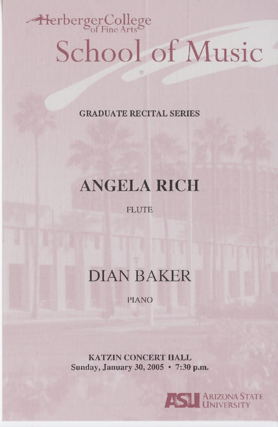# HerbergerCollege School of Music

**GRADUATE RECITAL SERIES**

## **ANGELA RICH**

FLUTE

### **DIAN BAKER**

PIANO

**KATZIN CONCERT HALL Sunday, January 30, 2005** • **7:30 p.m.**

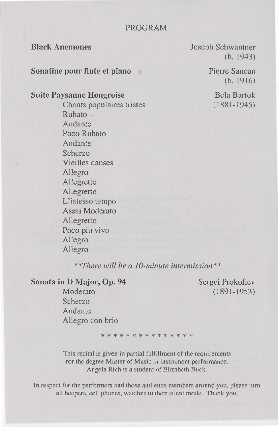#### PROGRAM

**Sonatine pour flute et piano** Pierre Sancan

### **Suite Paysanne Hongroise** Bela Bartok

Chants populaires tristes (1881-1945) Rubato Andante Poco Rubato Andante Scherzo Vieilles danses Allegro Allegretto Allegretto L'istesso tempo Assai Moderato Allegretto Poco piu vivo Allegro Allegro

**Black Anemones** Joseph Schwantner (b. 1943)

(b. 1916)

*\*\*There will be a 10-minute intermission\*\**

**Sonata in D Major, Op. 94** Sergei Prokofiev

Moderato (1891-1953) Scherzo Andante Allegro con brio

\* \* \* \* \* \* \* \* \* \* \* \* \* \* \*

This recital is given in partial fulfillment of the requirements for the degree Master of Music in instrument performance. Angela Rich is a student of Elizabeth Buck.

In respect for the performers and those audience members around you, please turn all beepers, cell phones, watches to their silent mode. Thank you.